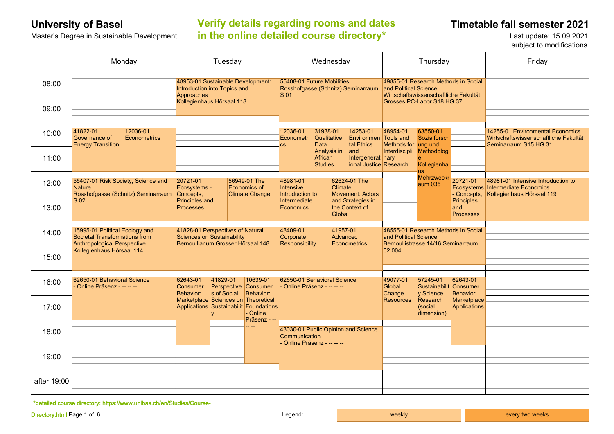# **University of Basel Timetable fall semester 2021 Verify details regarding rooms and dates**  Master's Degree in Sustainable Development **in the online detailed course directory\*** Last update: 15.09.2021

subject to modifications

|             | Monday                                                                                                                             |                                 | Tuesday                                                                                                       |  |                                                                                                           | Wednesday                                                                              |                                          |                                               |                                                                                                                                     | Thursday                                                                  |                                         |                                              | Friday                                                                                               |
|-------------|------------------------------------------------------------------------------------------------------------------------------------|---------------------------------|---------------------------------------------------------------------------------------------------------------|--|-----------------------------------------------------------------------------------------------------------|----------------------------------------------------------------------------------------|------------------------------------------|-----------------------------------------------|-------------------------------------------------------------------------------------------------------------------------------------|---------------------------------------------------------------------------|-----------------------------------------|----------------------------------------------|------------------------------------------------------------------------------------------------------|
| 08:00       |                                                                                                                                    |                                 | 48953-01 Sustainable Development:<br>Introduction into Topics and<br>Approaches<br>Kollegienhaus Hörsaal 118  |  |                                                                                                           | 55408-01 Future Mobilities<br>Rosshofgasse (Schnitz) Seminarraum<br>S <sub>01</sub>    |                                          |                                               | 49855-01 Research Methods in Social<br>and Political Science<br>Wirtschaftswissenschaftliche Fakultät<br>Grosses PC-Labor S18 HG.37 |                                                                           |                                         |                                              |                                                                                                      |
| 09:00       |                                                                                                                                    |                                 |                                                                                                               |  |                                                                                                           |                                                                                        |                                          |                                               |                                                                                                                                     |                                                                           |                                         |                                              |                                                                                                      |
| 10:00       | 41822-01<br>Governance of<br><b>Energy Transition</b>                                                                              | 12036-01<br><b>Econometrics</b> |                                                                                                               |  |                                                                                                           | 12036-01<br>Econometri<br><b>CS</b>                                                    | 31938-01<br><b>Qualitative</b><br>Data   |                                               | 14253-01<br><b>Environmen Tools and</b><br>tal Ethics                                                                               | 48954-01<br>Methods for ung und                                           | 63550-01<br>Sozialforsch                |                                              | 14255-01 Environmental Economics<br>Wirtschaftswissenschaftliche Fakultät<br>Seminarraum S15 HG.31   |
| 11:00       |                                                                                                                                    |                                 |                                                                                                               |  |                                                                                                           |                                                                                        | Analysis in<br>African<br><b>Studies</b> |                                               | and<br>Intergenerat nary<br>ional Justice Research                                                                                  | Interdiscipli                                                             | Methodologi<br>Kollegienha<br><b>us</b> |                                              |                                                                                                      |
| 12:00       | 55407-01 Risk Society, Science and<br><b>Nature</b><br>Rosshofgasse (Schnitz) Seminarraum<br>S <sub>02</sub>                       |                                 | 20721-01<br>Ecosystems -<br>Concepts,                                                                         |  | 56949-01 The<br>Economics of<br><b>Climate Change</b>                                                     | 48981-01<br><b>Intensive</b><br>Introduction to                                        |                                          | Climate                                       | 62624-01 The<br><b>Movement: Actors</b>                                                                                             |                                                                           | <b>Mehrzweckr</b><br>aum 035            | 20721-01<br>- Concepts,                      | 48981-01 Intensive Introduction to<br>Ecosystems Intermediate Economics<br>Kollegienhaus Hörsaal 119 |
| 13:00       |                                                                                                                                    |                                 | Principles and<br><b>Processes</b>                                                                            |  |                                                                                                           | Intermediate<br><b>Economics</b>                                                       |                                          | and Strategies in<br>the Context of<br>Global |                                                                                                                                     |                                                                           |                                         | <b>Principles</b><br>and<br><b>Processes</b> |                                                                                                      |
| 14:00       | 15995-01 Political Ecology and<br>Societal Transformations from<br><b>Anthropological Perspective</b><br>Kollegienhaus Hörsaal 114 |                                 | 41828-01 Perspectives of Natural<br>Sciences on Sustainability<br>Bernoullianum Grosser Hörsaal 148           |  |                                                                                                           | 48409-01<br>41957-01<br>Advanced<br>Corporate<br>Responsibility<br><b>Econometrics</b> |                                          |                                               | and Political Science                                                                                                               | 48555-01 Research Methods in Social<br>Bernoullistrasse 14/16 Seminarraum |                                         |                                              |                                                                                                      |
| 15:00       |                                                                                                                                    |                                 |                                                                                                               |  |                                                                                                           |                                                                                        |                                          | 02.004                                        |                                                                                                                                     |                                                                           |                                         |                                              |                                                                                                      |
| 16:00       | 62650-01 Behavioral Science<br>- Online Präsenz - -- -- --                                                                         |                                 | 62643-01<br>41829-01<br>10639-01<br>Perspective Consumer<br>Consumer<br>s of Social<br>Behavior:<br>Behavior: |  |                                                                                                           | 62650-01 Behavioral Science<br>- Online Präsenz - -- -- --                             |                                          | 49077-01<br>Global<br>Change                  | 57245-01<br>v Science                                                                                                               | 62643-01<br>Sustainabilit Consumer<br>Behavior:                           |                                         |                                              |                                                                                                      |
| 17:00       |                                                                                                                                    |                                 |                                                                                                               |  | Marketplace Sciences on Theoretical<br>Applications Sustainabilit Foundations<br>- Online<br>Präsenz - -- |                                                                                        |                                          | <b>Resources</b>                              | Research<br>(social<br>dimension)                                                                                                   | Marketplace<br>Applications                                               |                                         |                                              |                                                                                                      |
| 18:00       |                                                                                                                                    |                                 |                                                                                                               |  | -- --                                                                                                     | Communication<br>- Online Präsenz - -- -- --                                           |                                          | 43030-01 Public Opinion and Science           |                                                                                                                                     |                                                                           |                                         |                                              |                                                                                                      |
| 19:00       |                                                                                                                                    |                                 |                                                                                                               |  |                                                                                                           |                                                                                        |                                          |                                               |                                                                                                                                     |                                                                           |                                         |                                              |                                                                                                      |
| after 19:00 |                                                                                                                                    |                                 |                                                                                                               |  |                                                                                                           |                                                                                        |                                          |                                               |                                                                                                                                     |                                                                           |                                         |                                              |                                                                                                      |

**\***detailed course directory: https://www.unibas.ch/en/Studies/Course-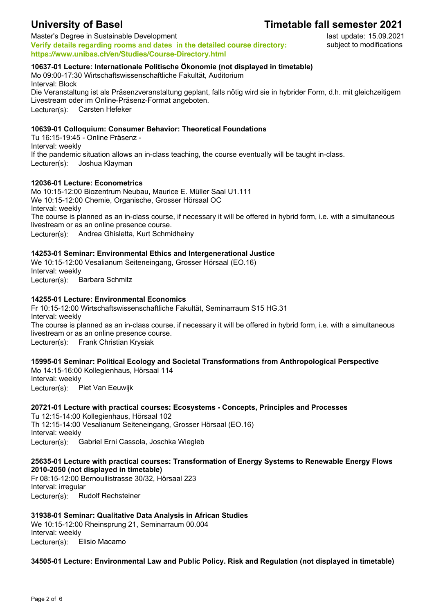## **University of Basel Timetable fall semester 2021**

Master's Degree in Sustainable Development **Verify details regarding rooms and dates in the detailed course directory: https://www.unibas.ch/en/Studies/Course-Directory.html**

#### **10637-01 Lecture: Internationale Politische Ökonomie (not displayed in timetable)**

Mo 09:00-17:30 Wirtschaftswissenschaftliche Fakultät, Auditorium Interval: Block Die Veranstaltung ist als Präsenzveranstaltung geplant, falls nötig wird sie in hybrider Form, d.h. mit gleichzeitigem Livestream oder im Online-Präsenz-Format angeboten.

Lecturer(s): Carsten Hefeker

#### **10639-01 Colloquium: Consumer Behavior: Theoretical Foundations**

Tu 16:15-19:45 - Online Präsenz - Interval: weekly If the pandemic situation allows an in-class teaching, the course eventually will be taught in-class. Lecturer(s): Joshua Klayman

#### **12036-01 Lecture: Econometrics**

Mo 10:15-12:00 Biozentrum Neubau, Maurice E. Müller Saal U1.111 We 10:15-12:00 Chemie, Organische, Grosser Hörsaal OC Interval: weekly The course is planned as an in-class course, if necessary it will be offered in hybrid form, i.e. with a simultaneous livestream or as an online presence course. Lecturer(s): Andrea Ghisletta, Kurt Schmidheiny

#### **14253-01 Seminar: Environmental Ethics and Intergenerational Justice**

We 10:15-12:00 Vesalianum Seiteneingang, Grosser Hörsaal (EO.16) Interval: weekly Lecturer(s): Barbara Schmitz

#### **14255-01 Lecture: Environmental Economics**

Fr 10:15-12:00 Wirtschaftswissenschaftliche Fakultät, Seminarraum S15 HG.31 Interval: weekly The course is planned as an in-class course, if necessary it will be offered in hybrid form, i.e. with a simultaneous livestream or as an online presence course. Lecturer(s): Frank Christian Krysiak

### **15995-01 Seminar: Political Ecology and Societal Transformations from Anthropological Perspective**

Mo 14:15-16:00 Kollegienhaus, Hörsaal 114 Interval: weekly Lecturer(s): Piet Van Eeuwijk

### **20721-01 Lecture with practical courses: Ecosystems - Concepts, Principles and Processes**

Tu 12:15-14:00 Kollegienhaus, Hörsaal 102 Th 12:15-14:00 Vesalianum Seiteneingang, Grosser Hörsaal (EO.16) Interval: weekly Lecturer(s): Gabriel Erni Cassola, Joschka Wiegleb

#### **25635-01 Lecture with practical courses: Transformation of Energy Systems to Renewable Energy Flows 2010-2050 (not displayed in timetable)**

Fr 08:15-12:00 Bernoullistrasse 30/32, Hörsaal 223 Interval: irregular Lecturer(s): Rudolf Rechsteiner

### **31938-01 Seminar: Qualitative Data Analysis in African Studies**

We 10:15-12:00 Rheinsprung 21, Seminarraum 00.004 Interval: weekly Lecturer(s): Elisio Macamo

**34505-01 Lecture: Environmental Law and Public Policy. Risk and Regulation (not displayed in timetable)**

last update: 15.09.2021 subject to modifications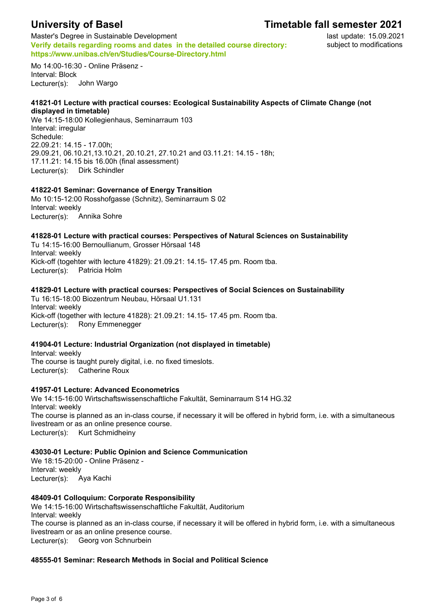# **University of Basel**

# **Timetable fall semester 2021**

Master's Degree in Sustainable Development **Verify details regarding rooms and dates in the detailed course directory: https://www.unibas.ch/en/Studies/Course-Directory.html**

last update: 15.09.2021 subject to modifications

Mo 14:00-16:30 - Online Präsenz - Interval: Block Lecturer(s): John Wargo

#### **41821-01 Lecture with practical courses: Ecological Sustainability Aspects of Climate Change (not displayed in timetable)**

We 14:15-18:00 Kollegienhaus, Seminarraum 103 Interval: irregular Schedule: 22.09.21: 14.15 - 17.00h; 29.09.21, 06.10.21,13.10.21, 20.10.21, 27.10.21 and 03.11.21: 14.15 - 18h; 17.11.21: 14.15 bis 16.00h (final assessment) Lecturer(s): Dirk Schindler

### **41822-01 Seminar: Governance of Energy Transition**

Mo 10:15-12:00 Rosshofgasse (Schnitz), Seminarraum S 02 Interval: weekly Lecturer(s): Annika Sohre

### **41828-01 Lecture with practical courses: Perspectives of Natural Sciences on Sustainability**

Tu 14:15-16:00 Bernoullianum, Grosser Hörsaal 148 Interval: weekly Kick-off (togehter with lecture 41829): 21.09.21: 14.15- 17.45 pm. Room tba. Lecturer(s): Patricia Holm

#### **41829-01 Lecture with practical courses: Perspectives of Social Sciences on Sustainability**

Tu 16:15-18:00 Biozentrum Neubau, Hörsaal U1.131 Interval: weekly Kick-off (together with lecture 41828): 21.09.21: 14.15- 17.45 pm. Room tba. Lecturer(s): Rony Emmenegger

#### **41904-01 Lecture: Industrial Organization (not displayed in timetable)**

Interval: weekly The course is taught purely digital, i.e. no fixed timeslots. Lecturer(s): Catherine Roux

#### **41957-01 Lecture: Advanced Econometrics**

We 14:15-16:00 Wirtschaftswissenschaftliche Fakultät, Seminarraum S14 HG.32 Interval: weekly The course is planned as an in-class course, if necessary it will be offered in hybrid form, i.e. with a simultaneous livestream or as an online presence course. Lecturer(s): Kurt Schmidheiny

#### **43030-01 Lecture: Public Opinion and Science Communication**

We 18:15-20:00 - Online Präsenz - Interval: weekly Lecturer(s): Aya Kachi

#### **48409-01 Colloquium: Corporate Responsibility**

We 14:15-16:00 Wirtschaftswissenschaftliche Fakultät, Auditorium Interval: weekly The course is planned as an in-class course, if necessary it will be offered in hybrid form, i.e. with a simultaneous livestream or as an online presence course. Lecturer(s): Georg von Schnurbein

#### **48555-01 Seminar: Research Methods in Social and Political Science**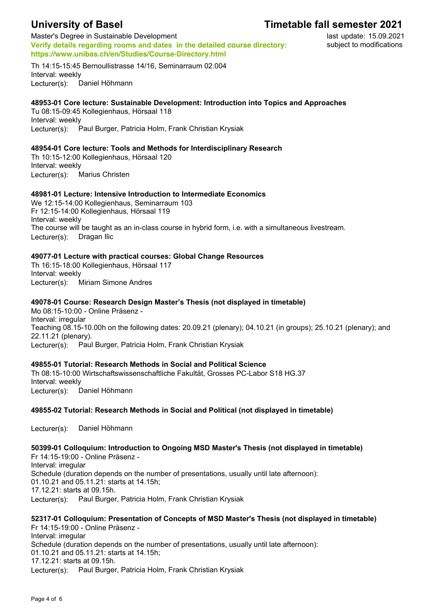# **University of Basel**

## **Timetable fall semester 2021**

Master's Degree in Sustainable Development **Verify details regarding rooms and dates in the detailed course directory: https://www.unibas.ch/en/Studies/Course-Directory.html**

last update: 15.09.2021 subject to modifications

Th 14:15-15:45 Bernoullistrasse 14/16, Seminarraum 02.004 Interval: weekly Lecturer(s): Daniel Höhmann

#### **48953-01 Core lecture: Sustainable Development: Introduction into Topics and Approaches**

Tu 08:15-09:45 Kollegienhaus, Hörsaal 118 Interval: weekly Lecturer(s): Paul Burger, Patricia Holm, Frank Christian Krysiak

#### **48954-01 Core lecture: Tools and Methods for Interdisciplinary Research**

Th 10:15-12:00 Kollegienhaus, Hörsaal 120 Interval: weekly Lecturer(s): Marius Christen

#### **48981-01 Lecture: Intensive Introduction to Intermediate Economics**

We 12:15-14:00 Kollegienhaus, Seminarraum 103 Fr 12:15-14:00 Kollegienhaus, Hörsaal 119 Interval: weekly The course will be taught as an in-class course in hybrid form, i.e. with a simultaneous livestream. Lecturer(s): Dragan Ilic

#### **49077-01 Lecture with practical courses: Global Change Resources**

Th 16:15-18:00 Kollegienhaus, Hörsaal 117 Interval: weekly Lecturer(s): Miriam Simone Andres

#### **49078-01 Course: Research Design Master's Thesis (not displayed in timetable)**

Mo 08:15-10:00 - Online Präsenz - Interval: irregular Teaching 08.15-10.00h on the following dates: 20.09.21 (plenary); 04.10.21 (in groups); 25.10.21 (plenary); and 22.11.21 (plenary). Lecturer(s): Paul Burger, Patricia Holm, Frank Christian Krysiak

#### **49855-01 Tutorial: Research Methods in Social and Political Science**

Th 08:15-10:00 Wirtschaftswissenschaftliche Fakultät, Grosses PC-Labor S18 HG.37 Interval: weekly Lecturer(s): Daniel Höhmann

#### **49855-02 Tutorial: Research Methods in Social and Political (not displayed in timetable)**

Lecturer(s): Daniel Höhmann

**50399-01 Colloquium: Introduction to Ongoing MSD Master's Thesis (not displayed in timetable)** Fr 14:15-19:00 - Online Präsenz - Interval: irregular Schedule (duration depends on the number of presentations, usually until late afternoon): 01.10.21 and 05.11.21: starts at 14.15h; 17.12.21: starts at 09.15h. Lecturer(s): Paul Burger, Patricia Holm, Frank Christian Krysiak

### **52317-01 Colloquium: Presentation of Concepts of MSD Master's Thesis (not displayed in timetable)** Fr 14:15-19:00 - Online Präsenz -

Interval: irregular Schedule (duration depends on the number of presentations, usually until late afternoon): 01.10.21 and 05.11.21: starts at 14.15h; 17.12.21: starts at 09.15h. Lecturer(s): Paul Burger, Patricia Holm, Frank Christian Krysiak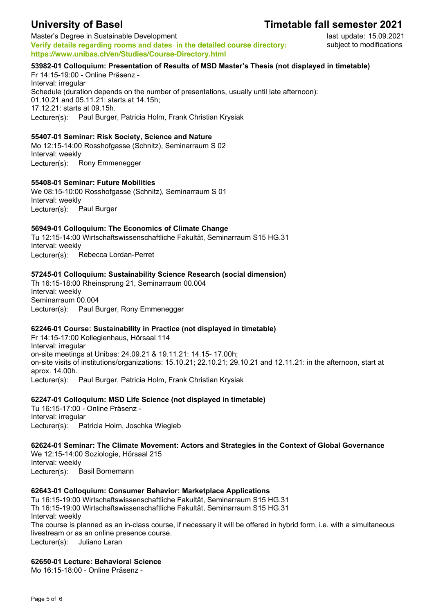## **University of Basel Timetable fall semester 2021**

Master's Degree in Sustainable Development **Verify details regarding rooms and dates in the detailed course directory: https://www.unibas.ch/en/Studies/Course-Directory.html**

last update: 15.09.2021 subject to modifications

#### **53982-01 Colloquium: Presentation of Results of MSD Master's Thesis (not displayed in timetable)**

Fr 14:15-19:00 - Online Präsenz - Interval: irregular Schedule (duration depends on the number of presentations, usually until late afternoon): 01.10.21 and 05.11.21: starts at 14.15h; 17.12.21: starts at 09.15h. Lecturer(s): Paul Burger, Patricia Holm, Frank Christian Krysiak

#### **55407-01 Seminar: Risk Society, Science and Nature**

Mo 12:15-14:00 Rosshofgasse (Schnitz), Seminarraum S 02 Interval: weekly Lecturer(s): Rony Emmenegger

#### **55408-01 Seminar: Future Mobilities**

We 08:15-10:00 Rosshofgasse (Schnitz), Seminarraum S 01 Interval: weekly Lecturer(s): Paul Burger

#### **56949-01 Colloquium: The Economics of Climate Change**

Tu 12:15-14:00 Wirtschaftswissenschaftliche Fakultät, Seminarraum S15 HG.31 Interval: weekly Lecturer(s): Rebecca Lordan-Perret

#### **57245-01 Colloquium: Sustainability Science Research (social dimension)**

Th 16:15-18:00 Rheinsprung 21, Seminarraum 00.004 Interval: weekly Seminarraum 00.004 Lecturer(s): Paul Burger, Rony Emmenegger

#### **62246-01 Course: Sustainability in Practice (not displayed in timetable)**

Fr 14:15-17:00 Kollegienhaus, Hörsaal 114 Interval: irregular on-site meetings at Unibas: 24.09.21 & 19.11.21: 14.15- 17.00h; on-site visits of institutions/organizations: 15.10.21; 22.10.21; 29.10.21 and 12.11.21: in the afternoon, start at aprox. 14.00h. Lecturer(s): Paul Burger, Patricia Holm, Frank Christian Krysiak

#### **62247-01 Colloquium: MSD Life Science (not displayed in timetable)**

Tu 16:15-17:00 - Online Präsenz - Interval: irregular Lecturer(s): Patricia Holm, Joschka Wiegleb

**62624-01 Seminar: The Climate Movement: Actors and Strategies in the Context of Global Governance** We 12:15-14:00 Soziologie, Hörsaal 215 Interval: weekly Lecturer(s): Basil Bornemann

#### **62643-01 Colloquium: Consumer Behavior: Marketplace Applications**

Tu 16:15-19:00 Wirtschaftswissenschaftliche Fakultät, Seminarraum S15 HG.31 Th 16:15-19:00 Wirtschaftswissenschaftliche Fakultät, Seminarraum S15 HG.31 Interval: weekly The course is planned as an in-class course, if necessary it will be offered in hybrid form, i.e. with a simultaneous livestream or as an online presence course. Lecturer(s): Juliano Laran

#### **62650-01 Lecture: Behavioral Science**

Mo 16:15-18:00 - Online Präsenz -